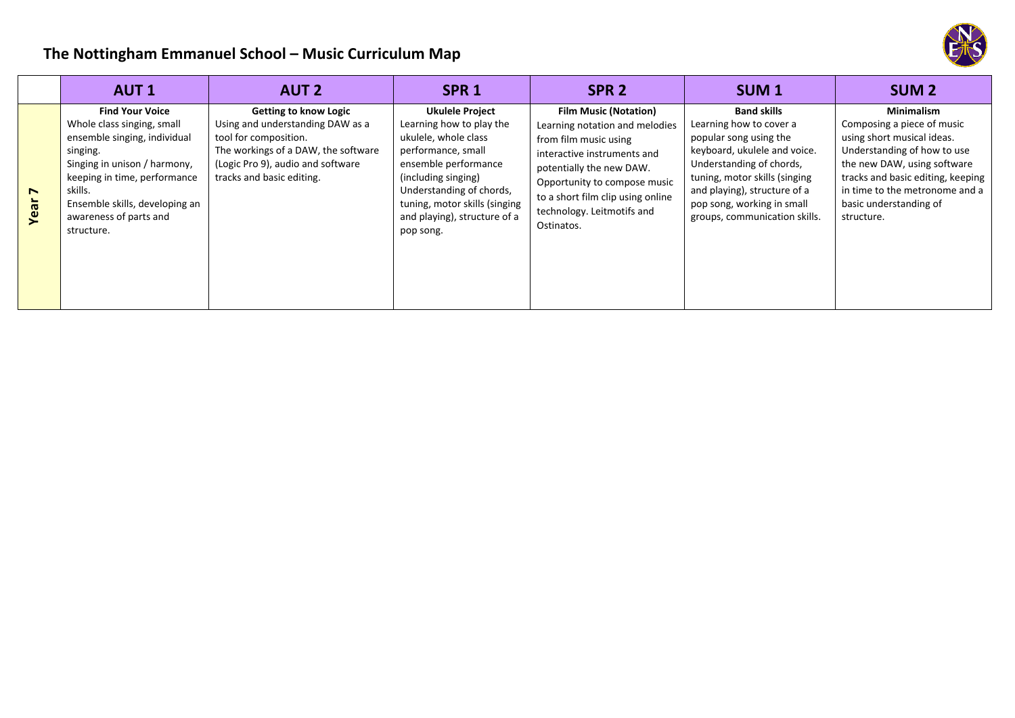

## **The Nottingham Emmanuel School – Music Curriculum Map**

|           | <b>AUT1</b>                                                                                                                                                                                                                                           | <b>AUT 2</b>                                                                                                                                                                                       | SPR <sub>1</sub>                                                                                                                                                                                                                                          | SPR <sub>2</sub>                                                                                                                                                                                                                                                    | SUM <sub>1</sub>                                                                                                                                                                                                                                                    | <b>SUM2</b>                                                                                                                                                                                                                                                |
|-----------|-------------------------------------------------------------------------------------------------------------------------------------------------------------------------------------------------------------------------------------------------------|----------------------------------------------------------------------------------------------------------------------------------------------------------------------------------------------------|-----------------------------------------------------------------------------------------------------------------------------------------------------------------------------------------------------------------------------------------------------------|---------------------------------------------------------------------------------------------------------------------------------------------------------------------------------------------------------------------------------------------------------------------|---------------------------------------------------------------------------------------------------------------------------------------------------------------------------------------------------------------------------------------------------------------------|------------------------------------------------------------------------------------------------------------------------------------------------------------------------------------------------------------------------------------------------------------|
| N<br>Year | <b>Find Your Voice</b><br>Whole class singing, small<br>ensemble singing, individual<br>singing.<br>Singing in unison / harmony,<br>keeping in time, performance<br>skills.<br>Ensemble skills, developing an<br>awareness of parts and<br>structure. | <b>Getting to know Logic</b><br>Using and understanding DAW as a<br>tool for composition.<br>The workings of a DAW, the software<br>(Logic Pro 9), audio and software<br>tracks and basic editing. | <b>Ukulele Project</b><br>Learning how to play the<br>ukulele, whole class<br>performance, small<br>ensemble performance<br>(including singing)<br>Understanding of chords,<br>tuning, motor skills (singing<br>and playing), structure of a<br>pop song. | <b>Film Music (Notation)</b><br>Learning notation and melodies<br>from film music using<br>interactive instruments and<br>potentially the new DAW.<br>Opportunity to compose music<br>to a short film clip using online<br>technology. Leitmotifs and<br>Ostinatos. | <b>Band skills</b><br>Learning how to cover a<br>popular song using the<br>keyboard, ukulele and voice.<br>Understanding of chords,<br>tuning, motor skills (singing<br>and playing), structure of a<br>pop song, working in small<br>groups, communication skills. | <b>Minimalism</b><br>Composing a piece of music<br>using short musical ideas.<br>Understanding of how to use<br>the new DAW, using software<br>tracks and basic editing, keeping<br>in time to the metronome and a<br>basic understanding of<br>structure. |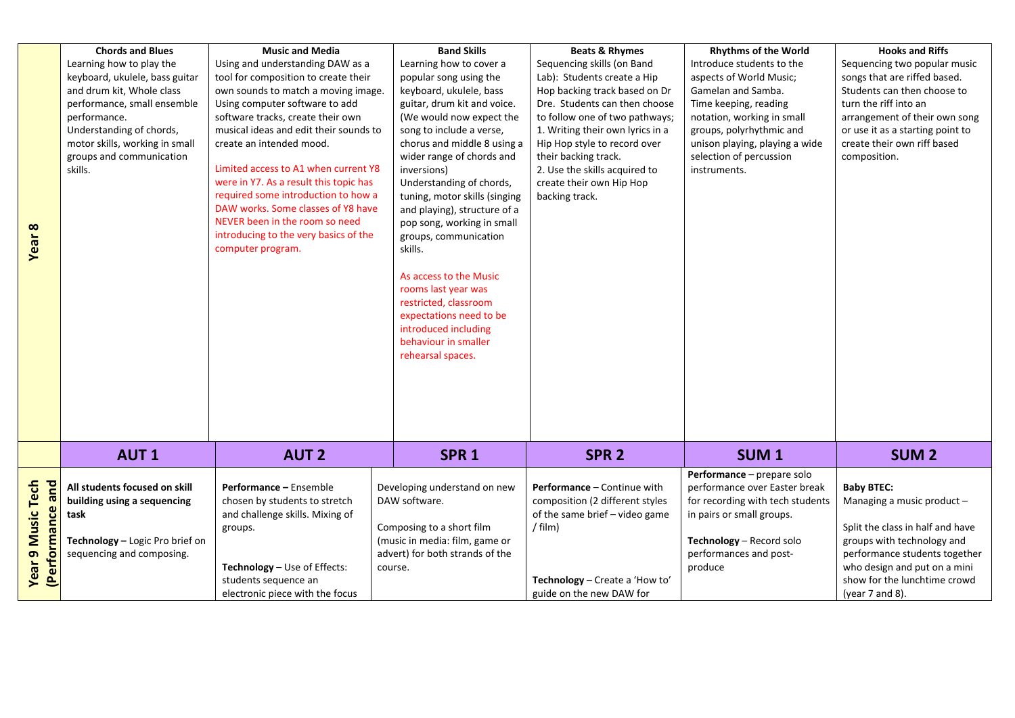| Year 8                                          | <b>Chords and Blues</b><br>Learning how to play the<br>keyboard, ukulele, bass guitar<br>and drum kit, Whole class<br>performance, small ensemble<br>performance.<br>Understanding of chords,<br>motor skills, working in small<br>groups and communication<br>skills. | <b>Music and Media</b><br>Using and understanding DAW as a<br>tool for composition to create their<br>own sounds to match a moving image.<br>Using computer software to add<br>software tracks, create their own<br>musical ideas and edit their sounds to<br>create an intended mood.<br>Limited access to A1 when current Y8<br>were in Y7. As a result this topic has<br>required some introduction to how a<br>DAW works. Some classes of Y8 have<br>NEVER been in the room so need<br>introducing to the very basics of the<br>computer program. | <b>Band Skills</b><br>Learning how to cover a<br>popular song using the<br>keyboard, ukulele, bass<br>guitar, drum kit and voice.<br>(We would now expect the<br>song to include a verse,<br>chorus and middle 8 using a<br>wider range of chords and<br>inversions)<br>Understanding of chords,<br>tuning, motor skills (singing<br>and playing), structure of a<br>pop song, working in small<br>groups, communication<br>skills.<br>As access to the Music<br>rooms last year was<br>restricted, classroom<br>expectations need to be<br>introduced including<br>behaviour in smaller<br>rehearsal spaces. | <b>Beats &amp; Rhymes</b><br>Sequencing skills (on Band<br>Lab): Students create a Hip<br>Hop backing track based on Dr<br>Dre. Students can then choose<br>to follow one of two pathways;<br>1. Writing their own lyrics in a<br>Hip Hop style to record over<br>their backing track.<br>2. Use the skills acquired to<br>create their own Hip Hop<br>backing track. | <b>Rhythms of the World</b><br>Introduce students to the<br>aspects of World Music;<br>Gamelan and Samba.<br>Time keeping, reading<br>notation, working in small<br>groups, polyrhythmic and<br>unison playing, playing a wide<br>selection of percussion<br>instruments. | <b>Hooks and Riffs</b><br>Sequencing two popular music<br>songs that are riffed based.<br>Students can then choose to<br>turn the riff into an<br>arrangement of their own song<br>or use it as a starting point to<br>create their own riff based<br>composition. |
|-------------------------------------------------|------------------------------------------------------------------------------------------------------------------------------------------------------------------------------------------------------------------------------------------------------------------------|-------------------------------------------------------------------------------------------------------------------------------------------------------------------------------------------------------------------------------------------------------------------------------------------------------------------------------------------------------------------------------------------------------------------------------------------------------------------------------------------------------------------------------------------------------|---------------------------------------------------------------------------------------------------------------------------------------------------------------------------------------------------------------------------------------------------------------------------------------------------------------------------------------------------------------------------------------------------------------------------------------------------------------------------------------------------------------------------------------------------------------------------------------------------------------|-----------------------------------------------------------------------------------------------------------------------------------------------------------------------------------------------------------------------------------------------------------------------------------------------------------------------------------------------------------------------|---------------------------------------------------------------------------------------------------------------------------------------------------------------------------------------------------------------------------------------------------------------------------|--------------------------------------------------------------------------------------------------------------------------------------------------------------------------------------------------------------------------------------------------------------------|
|                                                 |                                                                                                                                                                                                                                                                        |                                                                                                                                                                                                                                                                                                                                                                                                                                                                                                                                                       |                                                                                                                                                                                                                                                                                                                                                                                                                                                                                                                                                                                                               |                                                                                                                                                                                                                                                                                                                                                                       |                                                                                                                                                                                                                                                                           |                                                                                                                                                                                                                                                                    |
|                                                 | <b>AUT1</b>                                                                                                                                                                                                                                                            | <b>AUT 2</b>                                                                                                                                                                                                                                                                                                                                                                                                                                                                                                                                          | SPR <sub>1</sub>                                                                                                                                                                                                                                                                                                                                                                                                                                                                                                                                                                                              | SPR <sub>2</sub>                                                                                                                                                                                                                                                                                                                                                      | SUM <sub>1</sub>                                                                                                                                                                                                                                                          | <b>SUM 2</b>                                                                                                                                                                                                                                                       |
| <b>Year 9 Music Tech</b><br>and<br>(Performance | All students focused on skill<br>building using a sequencing<br>task<br>Technology - Logic Pro brief on<br>sequencing and composing.                                                                                                                                   | Performance - Ensemble<br>chosen by students to stretch<br>and challenge skills. Mixing of<br>groups.<br>Technology - Use of Effects:<br>students sequence an<br>electronic piece with the focus                                                                                                                                                                                                                                                                                                                                                      | Developing understand on new<br>DAW software.<br>Composing to a short film<br>(music in media: film, game or<br>advert) for both strands of the<br>course.                                                                                                                                                                                                                                                                                                                                                                                                                                                    | Performance - Continue with<br>composition (2 different styles<br>of the same brief - video game<br>$/$ film)<br>Technology - Create a 'How to'<br>guide on the new DAW for                                                                                                                                                                                           | Performance - prepare solo<br>performance over Easter break<br>for recording with tech students<br>in pairs or small groups.<br>Technology - Record solo<br>performances and post-<br>produce                                                                             | <b>Baby BTEC:</b><br>Managing a music product -<br>Split the class in half and have<br>groups with technology and<br>performance students together<br>who design and put on a mini<br>show for the lunchtime crowd<br>(year $7$ and $8$ ).                         |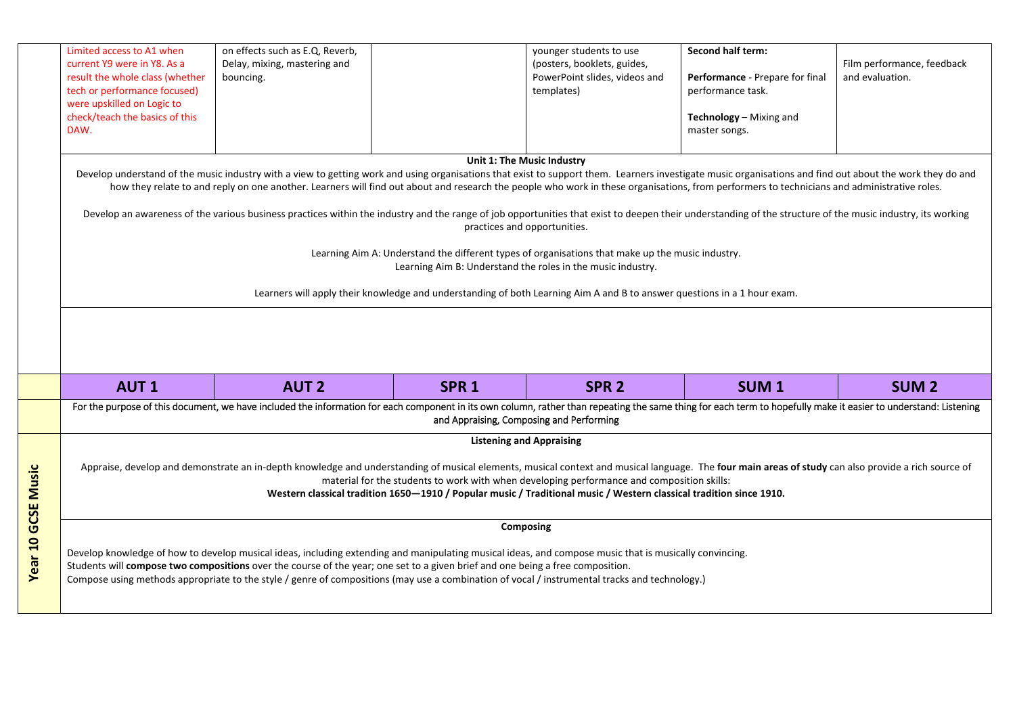|                           | Limited access to A1 when<br>current Y9 were in Y8. As a<br>result the whole class (whether<br>tech or performance focused)<br>were upskilled on Logic to<br>check/teach the basics of this<br>DAW.                                                                                                                                                                                                                                                         | on effects such as E.Q, Reverb,<br>Delay, mixing, mastering and<br>bouncing.                                                                                                                                                                                                                                                                                                                                                           |                              | younger students to use<br>(posters, booklets, guides,<br>PowerPoint slides, videos and<br>templates) | Second half term:<br>Performance - Prepare for final<br>performance task.<br>Technology - Mixing and<br>master songs. | Film performance, feedback<br>and evaluation. |  |  |
|---------------------------|-------------------------------------------------------------------------------------------------------------------------------------------------------------------------------------------------------------------------------------------------------------------------------------------------------------------------------------------------------------------------------------------------------------------------------------------------------------|----------------------------------------------------------------------------------------------------------------------------------------------------------------------------------------------------------------------------------------------------------------------------------------------------------------------------------------------------------------------------------------------------------------------------------------|------------------------------|-------------------------------------------------------------------------------------------------------|-----------------------------------------------------------------------------------------------------------------------|-----------------------------------------------|--|--|
|                           |                                                                                                                                                                                                                                                                                                                                                                                                                                                             | Unit 1: The Music Industry<br>Develop understand of the music industry with a view to getting work and using organisations that exist to support them. Learners investigate music organisations and find out about the work they do and<br>how they relate to and reply on one another. Learners will find out about and research the people who work in these organisations, from performers to technicians and administrative roles. |                              |                                                                                                       |                                                                                                                       |                                               |  |  |
|                           |                                                                                                                                                                                                                                                                                                                                                                                                                                                             | Develop an awareness of the various business practices within the industry and the range of job opportunities that exist to deepen their understanding of the structure of the music industry, its working                                                                                                                                                                                                                             | practices and opportunities. |                                                                                                       |                                                                                                                       |                                               |  |  |
|                           | Learning Aim A: Understand the different types of organisations that make up the music industry.<br>Learning Aim B: Understand the roles in the music industry.<br>Learners will apply their knowledge and understanding of both Learning Aim A and B to answer questions in a 1 hour exam.                                                                                                                                                                 |                                                                                                                                                                                                                                                                                                                                                                                                                                        |                              |                                                                                                       |                                                                                                                       |                                               |  |  |
|                           |                                                                                                                                                                                                                                                                                                                                                                                                                                                             |                                                                                                                                                                                                                                                                                                                                                                                                                                        |                              |                                                                                                       |                                                                                                                       |                                               |  |  |
|                           | <b>AUT1</b>                                                                                                                                                                                                                                                                                                                                                                                                                                                 | <b>AUT 2</b>                                                                                                                                                                                                                                                                                                                                                                                                                           | SPR <sub>1</sub>             | SPR <sub>2</sub>                                                                                      | SUM <sub>1</sub>                                                                                                      | <b>SUM<sub>2</sub></b>                        |  |  |
|                           | For the purpose of this document, we have included the information for each component in its own column, rather than repeating the same thing for each term to hopefully make it easier to understand: Listening<br>and Appraising, Composing and Performing                                                                                                                                                                                                |                                                                                                                                                                                                                                                                                                                                                                                                                                        |                              |                                                                                                       |                                                                                                                       |                                               |  |  |
| <b>Year 10 GCSE Music</b> | <b>Listening and Appraising</b><br>Appraise, develop and demonstrate an in-depth knowledge and understanding of musical elements, musical context and musical language. The four main areas of study can also provide a rich source of<br>material for the students to work with when developing performance and composition skills:<br>Western classical tradition 1650-1910 / Popular music / Traditional music / Western classical tradition since 1910. |                                                                                                                                                                                                                                                                                                                                                                                                                                        |                              |                                                                                                       |                                                                                                                       |                                               |  |  |
|                           | Composing<br>Develop knowledge of how to develop musical ideas, including extending and manipulating musical ideas, and compose music that is musically convincing.<br>Students will compose two compositions over the course of the year; one set to a given brief and one being a free composition.<br>Compose using methods appropriate to the style / genre of compositions (may use a combination of vocal / instrumental tracks and technology.)      |                                                                                                                                                                                                                                                                                                                                                                                                                                        |                              |                                                                                                       |                                                                                                                       |                                               |  |  |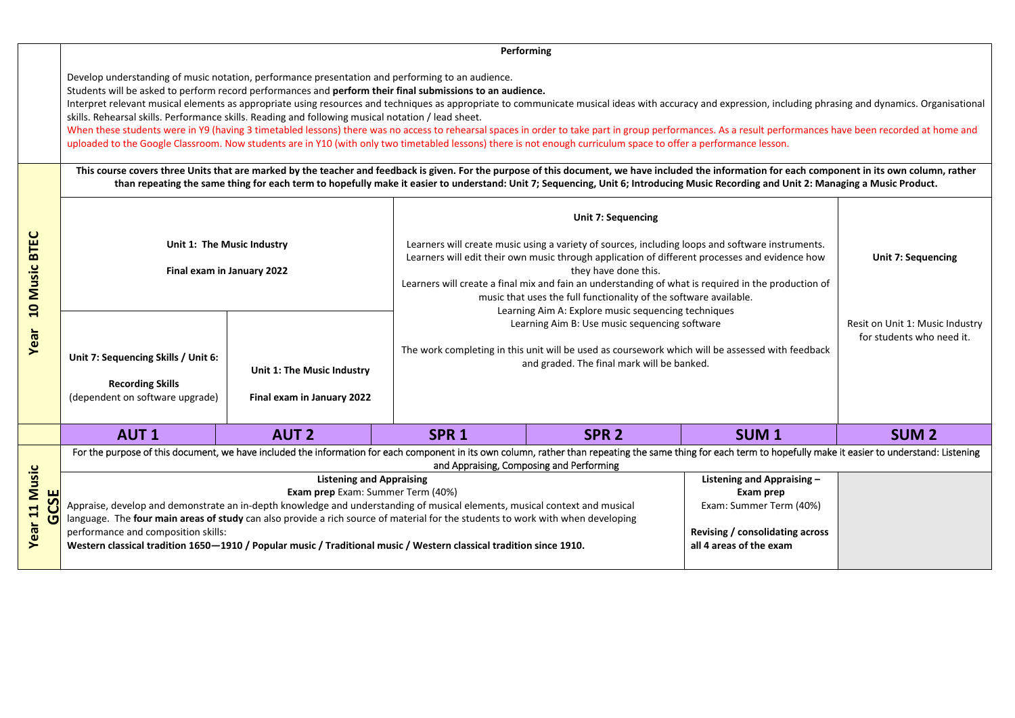## **Performing**  Develop understanding of music notation, performance presentation and performing to an audience. Students will be asked to perform record performances and **perform their final submissions to an audience.** Interpret relevant musical elements as appropriate using resources and techniques as appropriate to communicate musical ideas with accuracy and expression, including phrasing and dynamics. Organisational skills. Rehearsal skills. Performance skills. Reading and following musical notation / lead sheet. When these students were in Y9 (having 3 timetabled lessons) there was no access to rehearsal spaces in order to take part in group performances. As a result performances have been recorded at home and uploaded to the Google Classroom. Now students are in Y10 (with only two timetabled lessons) there is not enough curriculum space to offer a performance lesson. This course covers three Units that are marked by the teacher and feedback is given. For the purpose of this document, we have included the information for each component in its own column, rather **than repeating the same thing for each term to hopefully make it easier to understand: Unit 7; Sequencing, Unit 6; Introducing Music Recording and Unit 2: Managing a Music Product. Unit 7: Sequencing TEC** Learners will create music using a variety of sources, including loops and software instruments. **Unit 1: The Music Industry**

| <b>BTEC</b><br>usic<br>Σ<br>$\overline{a}$ | Unit 1: The Music Industry<br>Final exam in January 2022                                                                                                                                                                                                                                             |                                                          |                                                                      | Learners will create music using a variety of sources, including loops and software instruments.<br>Learners will edit their own music through application of different processes and evidence how<br>they have done this.<br>Learners will create a final mix and fain an understanding of what is required in the production of<br>music that uses the full functionality of the software available.<br>Learning Aim A: Explore music sequencing techniques |                                                                                                                                 |              |
|--------------------------------------------|------------------------------------------------------------------------------------------------------------------------------------------------------------------------------------------------------------------------------------------------------------------------------------------------------|----------------------------------------------------------|----------------------------------------------------------------------|---------------------------------------------------------------------------------------------------------------------------------------------------------------------------------------------------------------------------------------------------------------------------------------------------------------------------------------------------------------------------------------------------------------------------------------------------------------|---------------------------------------------------------------------------------------------------------------------------------|--------------|
| Year                                       | Unit 7: Sequencing Skills / Unit 6:<br><b>Recording Skills</b><br>(dependent on software upgrade)                                                                                                                                                                                                    | Unit 1: The Music Industry<br>Final exam in January 2022 |                                                                      | Learning Aim B: Use music sequencing software<br>The work completing in this unit will be used as coursework which will be assessed with feedback<br>and graded. The final mark will be banked.                                                                                                                                                                                                                                                               |                                                                                                                                 |              |
|                                            | <b>AUT1</b>                                                                                                                                                                                                                                                                                          | <b>AUT 2</b>                                             | SPR <sub>1</sub>                                                     | SPR <sub>2</sub>                                                                                                                                                                                                                                                                                                                                                                                                                                              | <b>SUM1</b>                                                                                                                     | <b>SUM 2</b> |
|                                            | For the purpose of this document, we have included the information for each component in its own column, rather than repeating the same thing for each term to hopefully make it easier to understand: Listening<br>and Appraising, Composing and Performing                                         |                                                          |                                                                      |                                                                                                                                                                                                                                                                                                                                                                                                                                                               |                                                                                                                                 |              |
| usic<br>Σ<br>55<br>11<br><b>G</b><br>Year  | Appraise, develop and demonstrate an in-depth knowledge and understanding of musical elements, musical context and musical<br>language. The four main areas of study can also provide a rich source of material for the students to work with when developing<br>performance and composition skills: |                                                          | <b>Listening and Appraising</b><br>Exam prep Exam: Summer Term (40%) |                                                                                                                                                                                                                                                                                                                                                                                                                                                               | Listening and Appraising-<br>Exam prep<br>Exam: Summer Term (40%)<br>Revising / consolidating across<br>all 4 areas of the exam |              |